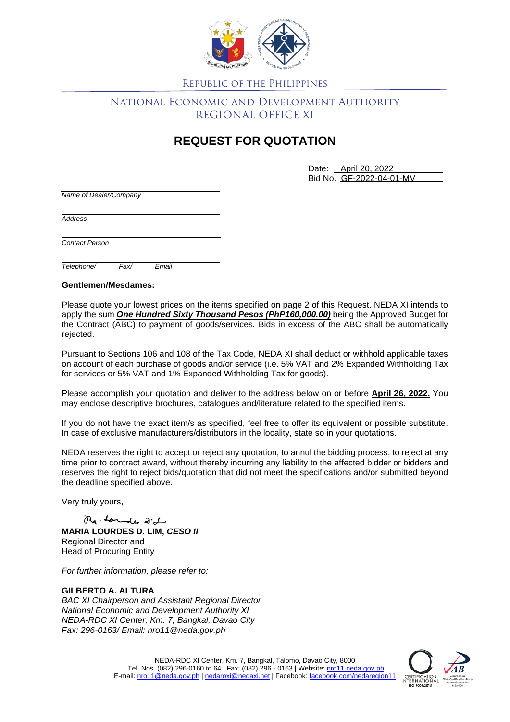

Republic of the Philippines

## National Economic and Development Authority REGIONAL OFFICE XI

## **REQUEST FOR QUOTATION**

Date: April 20, 2022 Bid No. GF-2022-04-01-MV

*Name of Dealer/Company*

*Address*

*Contact Person*

*Telephone/ Fax/ Email*

**Gentlemen/Mesdames:**

Please quote your lowest prices on the items specified on page 2 of this Request. NEDA XI intends to apply the sum *One Hundred Sixty Thousand Pesos (PhP160,000.00)* being the Approved Budget for the Contract (ABC) to payment of goods/services*.* Bids in excess of the ABC shall be automatically rejected.

Pursuant to Sections 106 and 108 of the Tax Code, NEDA XI shall deduct or withhold applicable taxes on account of each purchase of goods and/or service (i.e. 5% VAT and 2% Expanded Withholding Tax for services or 5% VAT and 1% Expanded Withholding Tax for goods).

Please accomplish your quotation and deliver to the address below on or before **April 26, 2022.** You may enclose descriptive brochures, catalogues and/literature related to the specified items.

If you do not have the exact item/s as specified, feel free to offer its equivalent or possible substitute. In case of exclusive manufacturers/distributors in the locality, state so in your quotations.

NEDA reserves the right to accept or reject any quotation, to annul the bidding process, to reject at any time prior to contract award, without thereby incurring any liability to the affected bidder or bidders and reserves the right to reject bids/quotation that did not meet the specifications and/or submitted beyond the deadline specified above.

Very truly yours,

Ma- Londer 2'd **MARIA LOURDES D. LIM,** *CESO II* Regional Director and Head of Procuring Entity

*For further information, please refer to:*

## **GILBERTO A. ALTURA**

*BAC XI Chairperson and Assistant Regional Director National Economic and Development Authority XI NEDA-RDC XI Center, Km. 7, Bangkal, Davao City Fax: 296-0163/ Email: [nro11@neda.gov.ph](mailto:nro11@neda.gov.ph)*